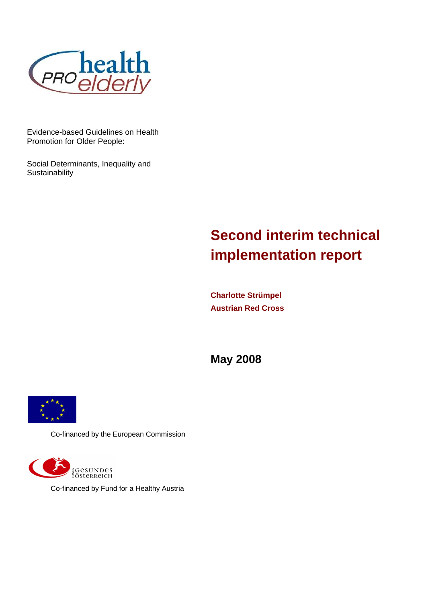

Evidence-based Guidelines on Health Promotion for Older People:

Social Determinants, Inequality and **Sustainability** 

# **Second interim technical implementation report**

**Charlotte Strümpel Austrian Red Cross** 

**May 2008** 



Co-financed by the European Commission



Co-financed by Fund for a Healthy Austria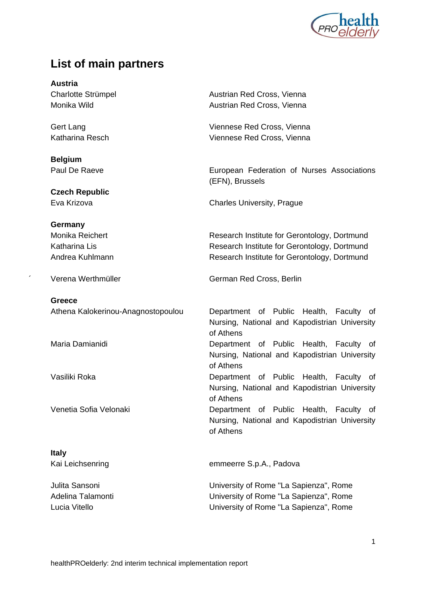

# **List of main partners**

**Austria** 

**Belgium** 

**Czech Republic** 

#### **Germany**

**Greece** 

**Italy** 

Charlotte Strümpel **Austrian Red Cross**, Vienna Monika Wild **Austrian Red Cross**, Vienna

Gert Lang Viennese Red Cross, Vienna Katharina Resch Viennese Red Cross, Vienna

Paul De Raeve **EUROCO EUROPEAN Federation of Nurses** Associations (EFN), Brussels

Eva Krizova Charles University, Prague

Monika Reichert **Research Institute for Gerontology**, Dortmund Katharina Lis **Katharina Lis Research Institute for Gerontology, Dortmund** Andrea Kuhlmann **Research Institute for Gerontology**, Dortmund

Verena Werthmüller German Red Cross, Berlin

 Athena Kalokerinou-Anagnostopoulou Department of Public Health, Faculty of Nursing, National and Kapodistrian University of Athens Maria Damianidi **Department** of Public Health, Faculty of Nursing, National and Kapodistrian University of Athens Vasiliki Roka Department of Public Health, Faculty of Nursing, National and Kapodistrian University of Athens Venetia Sofia Velonaki Department of Public Health, Faculty of Nursing, National and Kapodistrian University of Athens

Kai Leichsenring emmeerre S.p.A., Padova

 Julita Sansoni University of Rome "La Sapienza", Rome Adelina Talamonti University of Rome "La Sapienza", Rome Lucia Vitello University of Rome "La Sapienza", Rome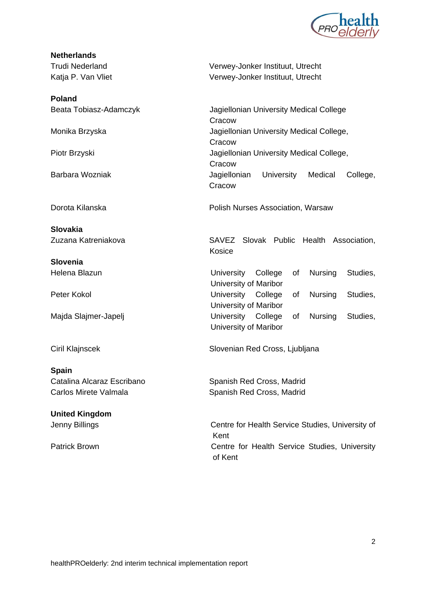

# **Netherlands**

**Poland** 

**Slovakia** 

**Slovenia**

**Spain**  Catalina Alcaraz Escribano Spanish Red Cross, Madrid

**United Kingdom** 

 Trudi Nederland Verwey-Jonker Instituut, Utrecht Katja P. Van Vliet Verwey-Jonker Instituut, Utrecht

Beata Tobiasz-Adamczyk Jagiellonian University Medical College **Cracow** Monika Brzyska Jagiellonian University Medical College, **Cracow** Piotr Brzyski Jagiellonian University Medical College, **Cracow**  Barbara Wozniak Jagiellonian University Medical College, **Cracow** 

Dorota Kilanska **Polish Nurses Association, Warsaw** 

 Zuzana Katreniakova SAVEZ Slovak Public Health Association, Kosice

Helena Blazun University College of Nursing Studies, University of Maribor Peter Kokol **Peter Kokol Example 20** Iniversity College of Nursing Studies, University of Maribor Majda Slajmer-Japelj University College of Nursing Studies, University of Maribor

Ciril Klajnscek Slovenian Red Cross, Ljubljana

Carlos Mirete Valmala Spanish Red Cross, Madrid

Jenny Billings Centre for Health Service Studies, University of Kent Patrick Brown **Centre for Health Service Studies**, University of Kent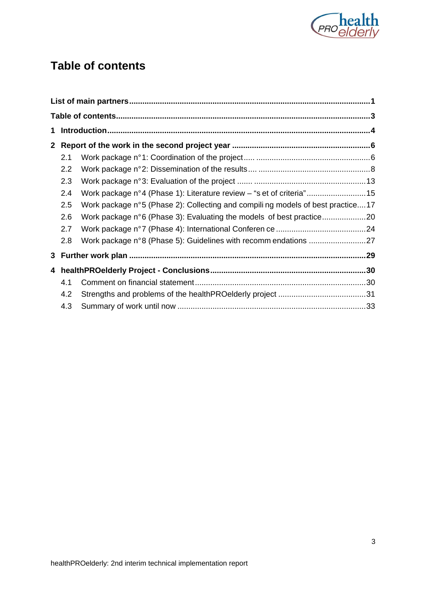

# **Table of contents**

| $\mathbf{2}$ |     |                                                                                |  |
|--------------|-----|--------------------------------------------------------------------------------|--|
|              | 2.1 |                                                                                |  |
|              | 2.2 |                                                                                |  |
|              | 2.3 |                                                                                |  |
|              | 2.4 | Work package n°4 (Phase 1): Literature review – "s et of criteria"15           |  |
|              | 2.5 | Work package n°5 (Phase 2): Collecting and compiling models of best practice17 |  |
|              | 2.6 | Work package n°6 (Phase 3): Evaluating the models of best practice20           |  |
|              | 2.7 |                                                                                |  |
|              | 2.8 |                                                                                |  |
|              |     |                                                                                |  |
|              |     |                                                                                |  |
|              | 4.1 |                                                                                |  |
|              | 4.2 |                                                                                |  |
|              | 4.3 |                                                                                |  |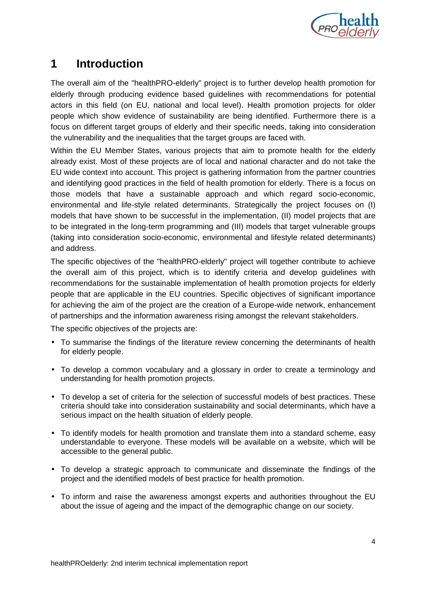

# **1 Introduction**

The overall aim of the "healthPRO-elderly" project is to further develop health promotion for elderly through producing evidence based guidelines with recommendations for potential actors in this field (on EU, national and local level). Health promotion projects for older people which show evidence of sustainability are being identified. Furthermore there is a focus on different target groups of elderly and their specific needs, taking into consideration the vulnerability and the inequalities that the target groups are faced with.

Within the EU Member States, various projects that aim to promote health for the elderly already exist. Most of these projects are of local and national character and do not take the EU wide context into account. This project is gathering information from the partner countries and identifying good practices in the field of health promotion for elderly. There is a focus on those models that have a sustainable approach and which regard socio-economic, environmental and life-style related determinants. Strategically the project focuses on (I) models that have shown to be successful in the implementation, (II) model projects that are to be integrated in the long-term programming and (III) models that target vulnerable groups (taking into consideration socio-economic, environmental and lifestyle related determinants) and address.

The specific objectives of the "healthPRO-elderly" project will together contribute to achieve the overall aim of this project, which is to identify criteria and develop guidelines with recommendations for the sustainable implementation of health promotion projects for elderly people that are applicable in the EU countries. Specific objectives of significant importance for achieving the aim of the project are the creation of a Europe-wide network, enhancement of partnerships and the information awareness rising amongst the relevant stakeholders.

The specific objectives of the projects are:

- To summarise the findings of the literature review concerning the determinants of health for elderly people.
- To develop a common vocabulary and a glossary in order to create a terminology and understanding for health promotion projects.
- To develop a set of criteria for the selection of successful models of best practices. These criteria should take into consideration sustainability and social determinants, which have a serious impact on the health situation of elderly people.
- To identify models for health promotion and translate them into a standard scheme, easy understandable to everyone. These models will be available on a website, which will be accessible to the general public.
- To develop a strategic approach to communicate and disseminate the findings of the project and the identified models of best practice for health promotion.
- To inform and raise the awareness amongst experts and authorities throughout the EU about the issue of ageing and the impact of the demographic change on our society.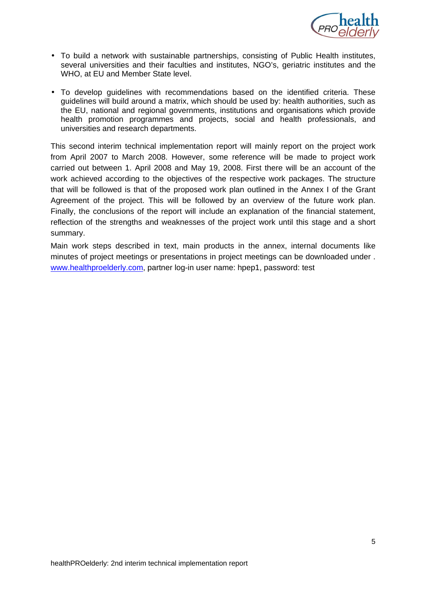

- To build a network with sustainable partnerships, consisting of Public Health institutes, several universities and their faculties and institutes, NGO's, geriatric institutes and the WHO, at EU and Member State level.
- To develop guidelines with recommendations based on the identified criteria. These guidelines will build around a matrix, which should be used by: health authorities, such as the EU, national and regional governments, institutions and organisations which provide health promotion programmes and projects, social and health professionals, and universities and research departments.

This second interim technical implementation report will mainly report on the project work from April 2007 to March 2008. However, some reference will be made to project work carried out between 1. April 2008 and May 19, 2008. First there will be an account of the work achieved according to the objectives of the respective work packages. The structure that will be followed is that of the proposed work plan outlined in the Annex I of the Grant Agreement of the project. This will be followed by an overview of the future work plan. Finally, the conclusions of the report will include an explanation of the financial statement, reflection of the strengths and weaknesses of the project work until this stage and a short summary.

Main work steps described in text, main products in the annex, internal documents like minutes of project meetings or presentations in project meetings can be downloaded under . www.healthproelderly.com, partner log-in user name: hpep1, password: test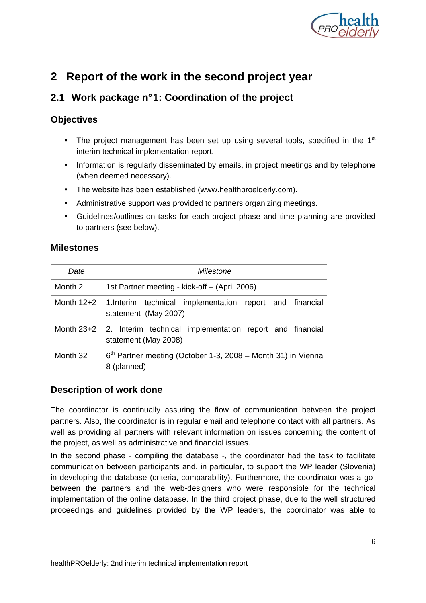

# **2 Report of the work in the second project year**

# **2.1 Work package n° 1: Coordination of the project**

#### **Objectives**

- The project management has been set up using several tools, specified in the  $1<sup>st</sup>$ interim technical implementation report.
- Information is regularly disseminated by emails, in project meetings and by telephone (when deemed necessary).
- The website has been established (www.healthproelderly.com).
- Administrative support was provided to partners organizing meetings.
- Guidelines/outlines on tasks for each project phase and time planning are provided to partners (see below).

#### **Milestones**

| Date         | Milestone                                                                        |  |  |  |  |  |
|--------------|----------------------------------------------------------------------------------|--|--|--|--|--|
| Month 2      | 1st Partner meeting - kick-off – (April 2006)                                    |  |  |  |  |  |
| Month $12+2$ | 1. Interim technical implementation report and financial<br>statement (May 2007) |  |  |  |  |  |
| Month $23+2$ | 2. Interim technical implementation report and financial<br>statement (May 2008) |  |  |  |  |  |
| Month 32     | $6th$ Partner meeting (October 1-3, 2008 – Month 31) in Vienna<br>8 (planned)    |  |  |  |  |  |

#### **Description of work done**

The coordinator is continually assuring the flow of communication between the project partners. Also, the coordinator is in regular email and telephone contact with all partners. As well as providing all partners with relevant information on issues concerning the content of the project, as well as administrative and financial issues.

In the second phase - compiling the database -, the coordinator had the task to facilitate communication between participants and, in particular, to support the WP leader (Slovenia) in developing the database (criteria, comparability). Furthermore, the coordinator was a gobetween the partners and the web-designers who were responsible for the technical implementation of the online database. In the third project phase, due to the well structured proceedings and guidelines provided by the WP leaders, the coordinator was able to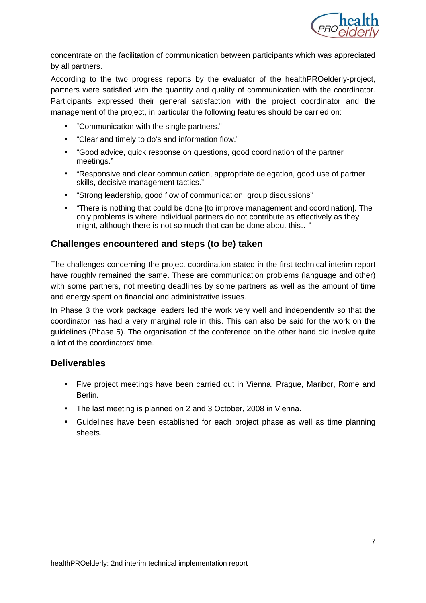

concentrate on the facilitation of communication between participants which was appreciated by all partners.

According to the two progress reports by the evaluator of the healthPROelderly-project, partners were satisfied with the quantity and quality of communication with the coordinator. Participants expressed their general satisfaction with the project coordinator and the management of the project, in particular the following features should be carried on:

- "Communication with the single partners."
- "Clear and timely to do's and information flow."
- "Good advice, quick response on questions, good coordination of the partner meetings."
- "Responsive and clear communication, appropriate delegation, good use of partner skills, decisive management tactics."
- "Strong leadership, good flow of communication, group discussions"
- "There is nothing that could be done [to improve management and coordination]. The only problems is where individual partners do not contribute as effectively as they might, although there is not so much that can be done about this…"

#### **Challenges encountered and steps (to be) taken**

The challenges concerning the project coordination stated in the first technical interim report have roughly remained the same. These are communication problems (language and other) with some partners, not meeting deadlines by some partners as well as the amount of time and energy spent on financial and administrative issues.

In Phase 3 the work package leaders led the work very well and independently so that the coordinator has had a very marginal role in this. This can also be said for the work on the guidelines (Phase 5). The organisation of the conference on the other hand did involve quite a lot of the coordinators' time.

#### **Deliverables**

- Five project meetings have been carried out in Vienna, Prague, Maribor, Rome and Berlin.
- The last meeting is planned on 2 and 3 October, 2008 in Vienna.
- Guidelines have been established for each project phase as well as time planning sheets.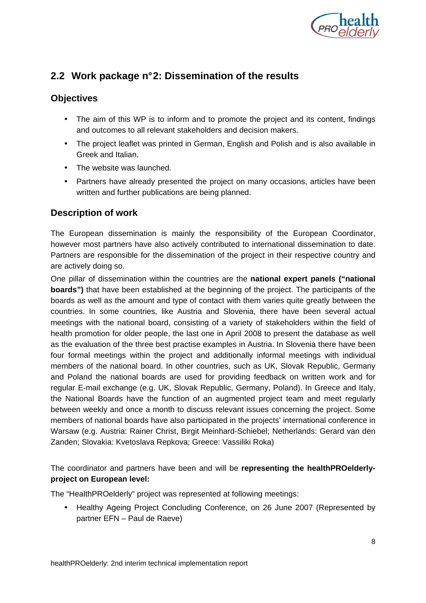

# **2.2 Work package n° 2: Dissemination of the results**

#### **Objectives**

- The aim of this WP is to inform and to promote the project and its content, findings and outcomes to all relevant stakeholders and decision makers.
- The project leaflet was printed in German, English and Polish and is also available in Greek and Italian.
- The website was launched.
- Partners have already presented the project on many occasions, articles have been written and further publications are being planned.

#### **Description of work**

The European dissemination is mainly the responsibility of the European Coordinator, however most partners have also actively contributed to international dissemination to date. Partners are responsible for the dissemination of the project in their respective country and are actively doing so.

One pillar of dissemination within the countries are the **national expert panels ("national boards")** that have been established at the beginning of the project. The participants of the boards as well as the amount and type of contact with them varies quite greatly between the countries. In some countries, like Austria and Slovenia, there have been several actual meetings with the national board, consisting of a variety of stakeholders within the field of health promotion for older people, the last one in April 2008 to present the database as well as the evaluation of the three best practise examples in Austria. In Slovenia there have been four formal meetings within the project and additionally informal meetings with individual members of the national board. In other countries, such as UK, Slovak Republic, Germany and Poland the national boards are used for providing feedback on written work and for regular E-mail exchange (e.g. UK, Slovak Republic, Germany, Poland). In Greece and Italy, the National Boards have the function of an augmented project team and meet regularly between weekly and once a month to discuss relevant issues concerning the project. Some members of national boards have also participated in the projects' international conference in Warsaw (e.g. Austria: Rainer Christ, Birgit Meinhard-Schiebel; Netherlands: Gerard van den Zanden; Slovakia: Kvetoslava Repkova; Greece: Vassiliki Roka)

The coordinator and partners have been and will be **representing the healthPROelderlyproject on European level:**

The "HealthPROelderly" project was represented at following meetings:

• Healthy Ageing Project Concluding Conference, on 26 June 2007 (Represented by partner EFN – Paul de Raeve)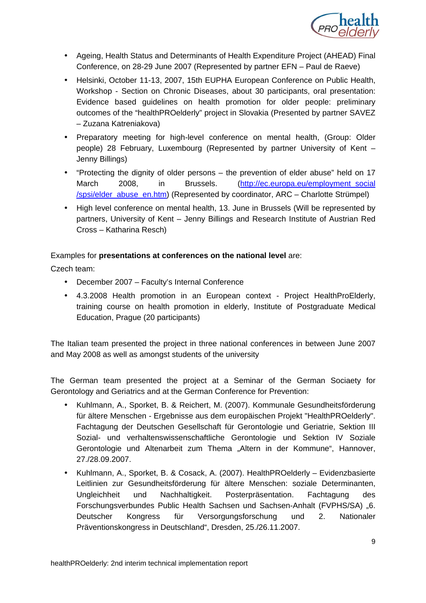

- Ageing, Health Status and Determinants of Health Expenditure Project (AHEAD) Final Conference, on 28-29 June 2007 (Represented by partner EFN – Paul de Raeve)
- Helsinki, October 11-13, 2007, 15th EUPHA European Conference on Public Health, Workshop - Section on Chronic Diseases, about 30 participants, oral presentation: Evidence based guidelines on health promotion for older people: preliminary outcomes of the "healthPROelderly" project in Slovakia (Presented by partner SAVEZ – Zuzana Katreniakova)
- Preparatory meeting for high-level conference on mental health, (Group: Older people) 28 February, Luxembourg (Represented by partner University of Kent – Jenny Billings)
- "Protecting the dignity of older persons the prevention of elder abuse" held on 17 March 2008, in Brussels. (http://ec.europa.eu/employment\_social /spsi/elder\_abuse\_en.htm) (Represented by coordinator, ARC – Charlotte Strümpel)
- High level conference on mental health, 13. June in Brussels (Will be represented by partners, University of Kent – Jenny Billings and Research Institute of Austrian Red Cross – Katharina Resch)

#### Examples for **presentations at conferences on the national level** are:

Czech team:

- December 2007 Faculty's Internal Conference
- 4.3.2008 Health promotion in an European context Project HealthProElderly, training course on health promotion in elderly, Institute of Postgraduate Medical Education, Prague (20 participants)

The Italian team presented the project in three national conferences in between June 2007 and May 2008 as well as amongst students of the university

The German team presented the project at a Seminar of the German Sociaety for Gerontology and Geriatrics and at the German Conference for Prevention:

- Kuhlmann, A., Sporket, B. & Reichert, M. (2007). Kommunale Gesundheitsförderung für ältere Menschen - Ergebnisse aus dem europäischen Projekt "HealthPROelderly". Fachtagung der Deutschen Gesellschaft für Gerontologie und Geriatrie, Sektion III Sozial- und verhaltenswissenschaftliche Gerontologie und Sektion IV Soziale Gerontologie und Altenarbeit zum Thema "Altern in der Kommune", Hannover, 27./28.09.2007.
- Kuhlmann, A., Sporket, B. & Cosack, A. (2007). HealthPROelderly Evidenzbasierte Leitlinien zur Gesundheitsförderung für ältere Menschen: soziale Determinanten, Ungleichheit und Nachhaltigkeit. Posterpräsentation. Fachtagung des Forschungsverbundes Public Health Sachsen und Sachsen-Anhalt (FVPHS/SA) "6. Deutscher Kongress für Versorgungsforschung und 2. Nationaler Präventionskongress in Deutschland", Dresden, 25./26.11.2007.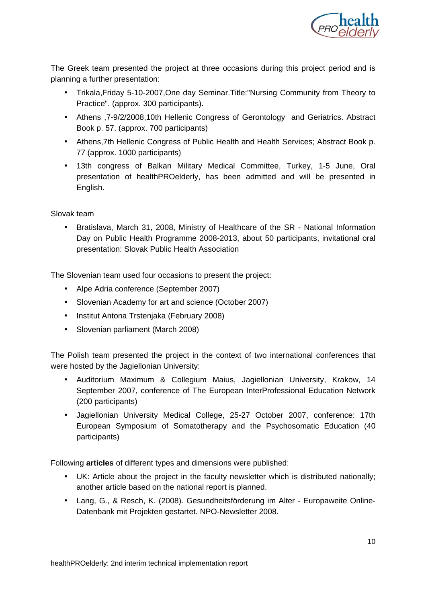

The Greek team presented the project at three occasions during this project period and is planning a further presentation:

- Trikala,Friday 5-10-2007,One day Seminar.Title:"Nursing Community from Theory to Practice". (approx. 300 participants).
- Athens ,7-9/2/2008,10th Hellenic Congress of Gerontology and Geriatrics. Abstract Book p. 57. (approx. 700 participants)
- Athens,7th Hellenic Congress of Public Health and Health Services; Abstract Book p. 77 (approx. 1000 participants)
- 13th congress of Balkan Military Medical Committee, Turkey, 1-5 June, Oral presentation of healthPROelderly, has been admitted and will be presented in English.

Slovak team

• Bratislava, March 31, 2008, Ministry of Healthcare of the SR - National Information Day on Public Health Programme 2008-2013, about 50 participants, invitational oral presentation: Slovak Public Health Association

The Slovenian team used four occasions to present the project:

- Alpe Adria conference (September 2007)
- Slovenian Academy for art and science (October 2007)
- Institut Antona Trstenjaka (February 2008)
- Slovenian parliament (March 2008)

The Polish team presented the project in the context of two international conferences that were hosted by the Jagiellonian University:

- Auditorium Maximum & Collegium Maius, Jagiellonian University, Krakow, 14 September 2007, conference of The European InterProfessional Education Network (200 participants)
- Jagiellonian University Medical College, 25-27 October 2007, conference: 17th European Symposium of Somatotherapy and the Psychosomatic Education (40 participants)

Following **articles** of different types and dimensions were published:

- UK: Article about the project in the faculty newsletter which is distributed nationally; another article based on the national report is planned.
- Lang, G., & Resch, K. (2008). Gesundheitsförderung im Alter Europaweite Online-Datenbank mit Projekten gestartet. NPO-Newsletter 2008.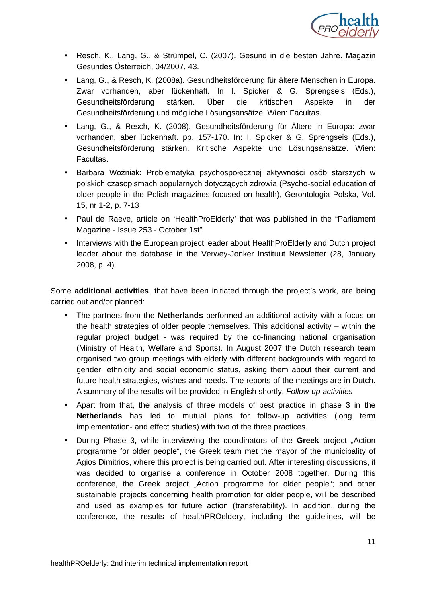

- Resch, K., Lang, G., & Strümpel, C. (2007). Gesund in die besten Jahre. Magazin Gesundes Österreich, 04/2007, 43.
- Lang, G., & Resch, K. (2008a). Gesundheitsförderung für ältere Menschen in Europa. Zwar vorhanden, aber lückenhaft. In I. Spicker & G. Sprengseis (Eds.), Gesundheitsförderung stärken. Über die kritischen Aspekte in der Gesundheitsförderung und mögliche Lösungsansätze. Wien: Facultas.
- Lang, G., & Resch, K. (2008). Gesundheitsförderung für Ältere in Europa: zwar vorhanden, aber lückenhaft. pp. 157-170. In: I. Spicker & G. Sprengseis (Eds.), Gesundheitsförderung stärken. Kritische Aspekte und Lösungsansätze. Wien: Facultas.
- Barbara Woźniak: Problematyka psychospołecznej aktywności osób starszych w polskich czasopismach popularnych dotyczących zdrowia (Psycho-social education of older people in the Polish magazines focused on health), Gerontologia Polska, Vol. 15, nr 1-2, p. 7-13
- Paul de Raeve, article on 'HealthProElderly' that was published in the "Parliament Magazine - Issue 253 - October 1st"
- Interviews with the European project leader about HealthProElderly and Dutch project leader about the database in the Verwey-Jonker Instituut Newsletter (28, January 2008, p. 4).

Some **additional activities**, that have been initiated through the project's work, are being carried out and/or planned:

- The partners from the **Netherlands** performed an additional activity with a focus on the health strategies of older people themselves. This additional activity – within the regular project budget - was required by the co-financing national organisation (Ministry of Health, Welfare and Sports). In August 2007 the Dutch research team organised two group meetings with elderly with different backgrounds with regard to gender, ethnicity and social economic status, asking them about their current and future health strategies, wishes and needs. The reports of the meetings are in Dutch. A summary of the results will be provided in English shortly. Follow-up activities
- Apart from that, the analysis of three models of best practice in phase 3 in the **Netherlands** has led to mutual plans for follow-up activities (long term implementation- and effect studies) with two of the three practices.
- During Phase 3, while interviewing the coordinators of the **Greek** project "Action programme for older people", the Greek team met the mayor of the municipality of Agios Dimitrios, where this project is being carried out. After interesting discussions, it was decided to organise a conference in October 2008 together. During this conference, the Greek project "Action programme for older people"; and other sustainable projects concerning health promotion for older people, will be described and used as examples for future action (transferability). In addition, during the conference, the results of healthPROeldery, including the guidelines, will be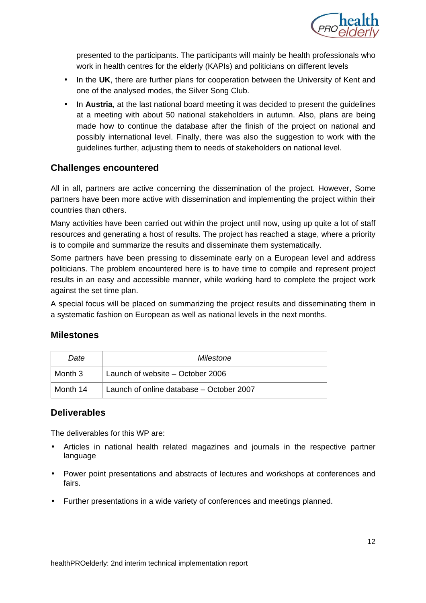

presented to the participants. The participants will mainly be health professionals who work in health centres for the elderly (KAPIs) and politicians on different levels

- In the **UK**, there are further plans for cooperation between the University of Kent and one of the analysed modes, the Silver Song Club.
- In **Austria**, at the last national board meeting it was decided to present the guidelines at a meeting with about 50 national stakeholders in autumn. Also, plans are being made how to continue the database after the finish of the project on national and possibly international level. Finally, there was also the suggestion to work with the guidelines further, adjusting them to needs of stakeholders on national level.

#### **Challenges encountered**

All in all, partners are active concerning the dissemination of the project. However, Some partners have been more active with dissemination and implementing the project within their countries than others.

Many activities have been carried out within the project until now, using up quite a lot of staff resources and generating a host of results. The project has reached a stage, where a priority is to compile and summarize the results and disseminate them systematically.

Some partners have been pressing to disseminate early on a European level and address politicians. The problem encountered here is to have time to compile and represent project results in an easy and accessible manner, while working hard to complete the project work against the set time plan.

A special focus will be placed on summarizing the project results and disseminating them in a systematic fashion on European as well as national levels in the next months.

#### **Milestones**

| Date     | Milestone                                |  |  |
|----------|------------------------------------------|--|--|
| Month 3  | Launch of website – October 2006         |  |  |
| Month 14 | Launch of online database – October 2007 |  |  |

#### **Deliverables**

The deliverables for this WP are:

- Articles in national health related magazines and journals in the respective partner language
- Power point presentations and abstracts of lectures and workshops at conferences and fairs.
- Further presentations in a wide variety of conferences and meetings planned.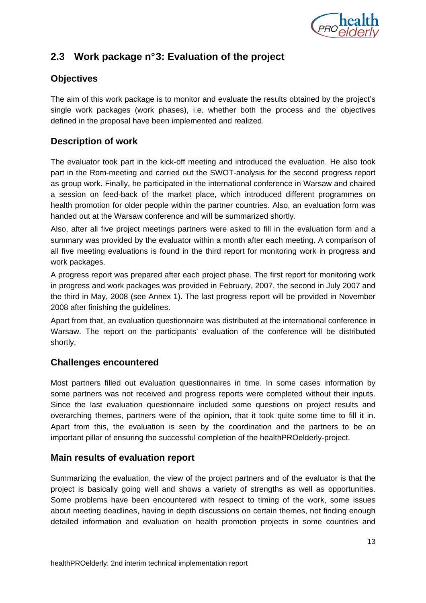

# **2.3 Work package n° 3: Evaluation of the project**

#### **Objectives**

The aim of this work package is to monitor and evaluate the results obtained by the project's single work packages (work phases), i.e. whether both the process and the objectives defined in the proposal have been implemented and realized.

#### **Description of work**

The evaluator took part in the kick-off meeting and introduced the evaluation. He also took part in the Rom-meeting and carried out the SWOT-analysis for the second progress report as group work. Finally, he participated in the international conference in Warsaw and chaired a session on feed-back of the market place, which introduced different programmes on health promotion for older people within the partner countries. Also, an evaluation form was handed out at the Warsaw conference and will be summarized shortly.

Also, after all five project meetings partners were asked to fill in the evaluation form and a summary was provided by the evaluator within a month after each meeting. A comparison of all five meeting evaluations is found in the third report for monitoring work in progress and work packages.

A progress report was prepared after each project phase. The first report for monitoring work in progress and work packages was provided in February, 2007, the second in July 2007 and the third in May, 2008 (see Annex 1). The last progress report will be provided in November 2008 after finishing the guidelines.

Apart from that, an evaluation questionnaire was distributed at the international conference in Warsaw. The report on the participants' evaluation of the conference will be distributed shortly.

#### **Challenges encountered**

Most partners filled out evaluation questionnaires in time. In some cases information by some partners was not received and progress reports were completed without their inputs. Since the last evaluation questionnaire included some questions on project results and overarching themes, partners were of the opinion, that it took quite some time to fill it in. Apart from this, the evaluation is seen by the coordination and the partners to be an important pillar of ensuring the successful completion of the healthPROelderly-project.

#### **Main results of evaluation report**

Summarizing the evaluation, the view of the project partners and of the evaluator is that the project is basically going well and shows a variety of strengths as well as opportunities. Some problems have been encountered with respect to timing of the work, some issues about meeting deadlines, having in depth discussions on certain themes, not finding enough detailed information and evaluation on health promotion projects in some countries and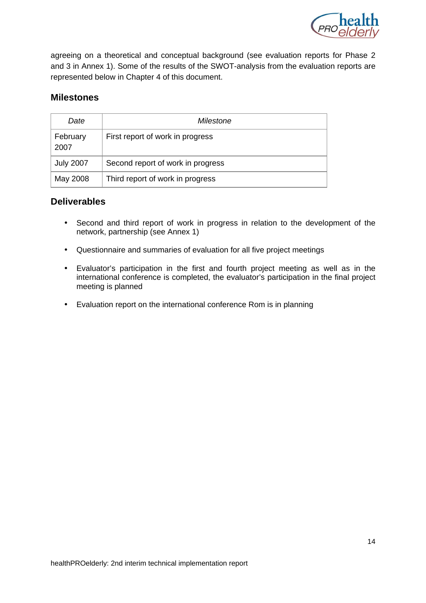

agreeing on a theoretical and conceptual background (see evaluation reports for Phase 2 and 3 in Annex 1). Some of the results of the SWOT-analysis from the evaluation reports are represented below in Chapter 4 of this document.

#### **Milestones**

| Date             | Milestone                         |  |  |
|------------------|-----------------------------------|--|--|
| February<br>2007 | First report of work in progress  |  |  |
| <b>July 2007</b> | Second report of work in progress |  |  |
| May 2008         | Third report of work in progress  |  |  |

#### **Deliverables**

- Second and third report of work in progress in relation to the development of the network, partnership (see Annex 1)
- Questionnaire and summaries of evaluation for all five project meetings
- Evaluator's participation in the first and fourth project meeting as well as in the international conference is completed, the evaluator's participation in the final project meeting is planned
- Evaluation report on the international conference Rom is in planning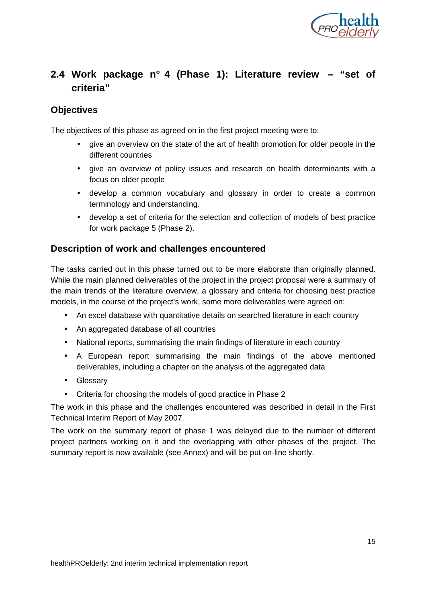

# **2.4 Work package n° 4 (Phase 1): Literature review – "set of criteria"**

#### **Objectives**

The objectives of this phase as agreed on in the first project meeting were to:

- give an overview on the state of the art of health promotion for older people in the different countries
- give an overview of policy issues and research on health determinants with a focus on older people
- develop a common vocabulary and glossary in order to create a common terminology and understanding.
- develop a set of criteria for the selection and collection of models of best practice for work package 5 (Phase 2).

#### **Description of work and challenges encountered**

The tasks carried out in this phase turned out to be more elaborate than originally planned. While the main planned deliverables of the project in the project proposal were a summary of the main trends of the literature overview, a glossary and criteria for choosing best practice models, in the course of the project's work, some more deliverables were agreed on:

- An excel database with quantitative details on searched literature in each country
- An aggregated database of all countries
- National reports, summarising the main findings of literature in each country
- A European report summarising the main findings of the above mentioned deliverables, including a chapter on the analysis of the aggregated data
- Glossary
- Criteria for choosing the models of good practice in Phase 2

The work in this phase and the challenges encountered was described in detail in the First Technical Interim Report of May 2007.

The work on the summary report of phase 1 was delayed due to the number of different project partners working on it and the overlapping with other phases of the project. The summary report is now available (see Annex) and will be put on-line shortly.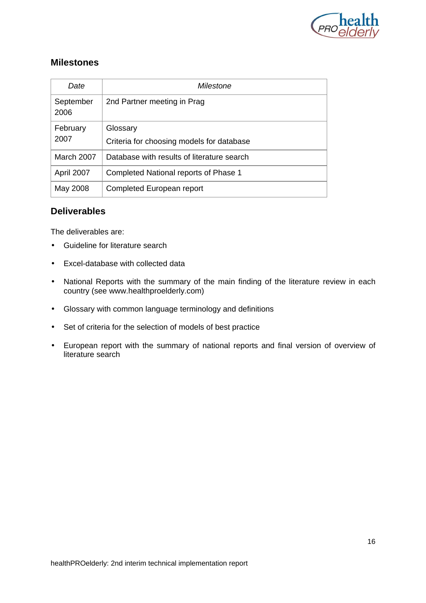

#### **Milestones**

| Date                                             | Milestone                                             |  |  |  |
|--------------------------------------------------|-------------------------------------------------------|--|--|--|
| September<br>2nd Partner meeting in Prag<br>2006 |                                                       |  |  |  |
| February<br>2007                                 | Glossary<br>Criteria for choosing models for database |  |  |  |
| March 2007                                       | Database with results of literature search            |  |  |  |
| April 2007                                       | Completed National reports of Phase 1                 |  |  |  |
| May 2008                                         | Completed European report                             |  |  |  |

#### **Deliverables**

The deliverables are:

- Guideline for literature search
- Excel-database with collected data
- National Reports with the summary of the main finding of the literature review in each country (see www.healthproelderly.com)
- Glossary with common language terminology and definitions
- Set of criteria for the selection of models of best practice
- European report with the summary of national reports and final version of overview of literature search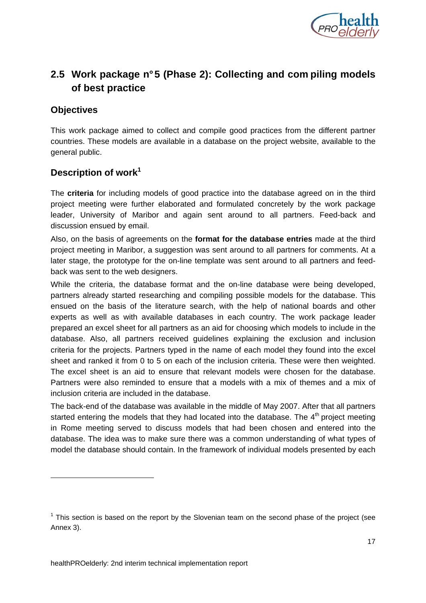

# **2.5 Work package n° 5 (Phase 2): Collecting and com piling models of best practice**

#### **Objectives**

This work package aimed to collect and compile good practices from the different partner countries. These models are available in a database on the project website, available to the general public.

#### **Description of work<sup>1</sup>**

The **criteria** for including models of good practice into the database agreed on in the third project meeting were further elaborated and formulated concretely by the work package leader, University of Maribor and again sent around to all partners. Feed-back and discussion ensued by email.

Also, on the basis of agreements on the **format for the database entries** made at the third project meeting in Maribor, a suggestion was sent around to all partners for comments. At a later stage, the prototype for the on-line template was sent around to all partners and feedback was sent to the web designers.

While the criteria, the database format and the on-line database were being developed, partners already started researching and compiling possible models for the database. This ensued on the basis of the literature search, with the help of national boards and other experts as well as with available databases in each country. The work package leader prepared an excel sheet for all partners as an aid for choosing which models to include in the database. Also, all partners received guidelines explaining the exclusion and inclusion criteria for the projects. Partners typed in the name of each model they found into the excel sheet and ranked it from 0 to 5 on each of the inclusion criteria. These were then weighted. The excel sheet is an aid to ensure that relevant models were chosen for the database. Partners were also reminded to ensure that a models with a mix of themes and a mix of inclusion criteria are included in the database.

The back-end of the database was available in the middle of May 2007. After that all partners started entering the models that they had located into the database. The  $4<sup>th</sup>$  project meeting in Rome meeting served to discuss models that had been chosen and entered into the database. The idea was to make sure there was a common understanding of what types of model the database should contain. In the framework of individual models presented by each

 $1$  This section is based on the report by the Slovenian team on the second phase of the project (see Annex 3).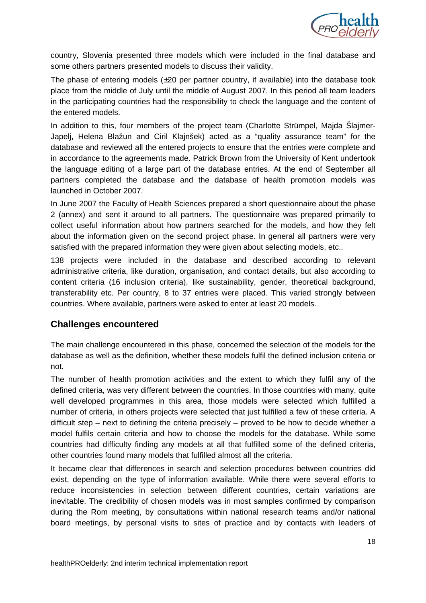

country, Slovenia presented three models which were included in the final database and some others partners presented models to discuss their validity.

The phase of entering models (±20 per partner country, if available) into the database took place from the middle of July until the middle of August 2007. In this period all team leaders in the participating countries had the responsibility to check the language and the content of the entered models.

In addition to this, four members of the project team (Charlotte Strümpel, Majda Šlajmer-Japelj, Helena Blažun and Ciril Klajnšek) acted as a "quality assurance team" for the database and reviewed all the entered projects to ensure that the entries were complete and in accordance to the agreements made. Patrick Brown from the University of Kent undertook the language editing of a large part of the database entries. At the end of September all partners completed the database and the database of health promotion models was launched in October 2007.

In June 2007 the Faculty of Health Sciences prepared a short questionnaire about the phase 2 (annex) and sent it around to all partners. The questionnaire was prepared primarily to collect useful information about how partners searched for the models, and how they felt about the information given on the second project phase. In general all partners were very satisfied with the prepared information they were given about selecting models, etc..

138 projects were included in the database and described according to relevant administrative criteria, like duration, organisation, and contact details, but also according to content criteria (16 inclusion criteria), like sustainability, gender, theoretical background, transferability etc. Per country, 8 to 37 entries were placed. This varied strongly between countries. Where available, partners were asked to enter at least 20 models.

#### **Challenges encountered**

The main challenge encountered in this phase, concerned the selection of the models for the database as well as the definition, whether these models fulfil the defined inclusion criteria or not.

The number of health promotion activities and the extent to which they fulfil any of the defined criteria, was very different between the countries. In those countries with many, quite well developed programmes in this area, those models were selected which fulfilled a number of criteria, in others projects were selected that just fulfilled a few of these criteria. A difficult step – next to defining the criteria precisely – proved to be how to decide whether a model fulfils certain criteria and how to choose the models for the database. While some countries had difficulty finding any models at all that fulfilled some of the defined criteria, other countries found many models that fulfilled almost all the criteria.

It became clear that differences in search and selection procedures between countries did exist, depending on the type of information available. While there were several efforts to reduce inconsistencies in selection between different countries, certain variations are inevitable. The credibility of chosen models was in most samples confirmed by comparison during the Rom meeting, by consultations within national research teams and/or national board meetings, by personal visits to sites of practice and by contacts with leaders of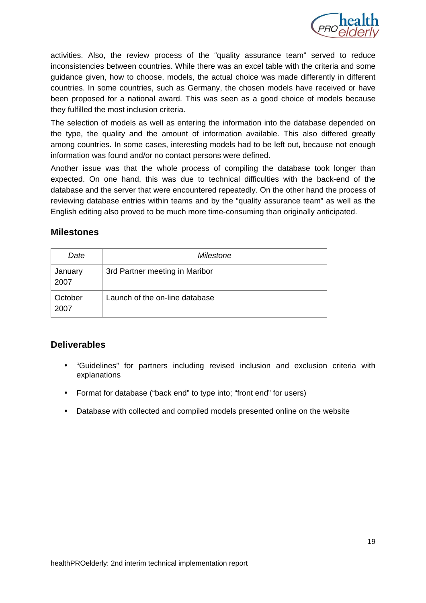

activities. Also, the review process of the "quality assurance team" served to reduce inconsistencies between countries. While there was an excel table with the criteria and some guidance given, how to choose, models, the actual choice was made differently in different countries. In some countries, such as Germany, the chosen models have received or have been proposed for a national award. This was seen as a good choice of models because they fulfilled the most inclusion criteria.

The selection of models as well as entering the information into the database depended on the type, the quality and the amount of information available. This also differed greatly among countries. In some cases, interesting models had to be left out, because not enough information was found and/or no contact persons were defined.

Another issue was that the whole process of compiling the database took longer than expected. On one hand, this was due to technical difficulties with the back-end of the database and the server that were encountered repeatedly. On the other hand the process of reviewing database entries within teams and by the "quality assurance team" as well as the English editing also proved to be much more time-consuming than originally anticipated.

#### **Milestones**

| Date            | Milestone                      |  |  |
|-----------------|--------------------------------|--|--|
| January<br>2007 | 3rd Partner meeting in Maribor |  |  |
| October<br>2007 | Launch of the on-line database |  |  |

#### **Deliverables**

- "Guidelines" for partners including revised inclusion and exclusion criteria with explanations
- Format for database ("back end" to type into; "front end" for users)
- Database with collected and compiled models presented online on the website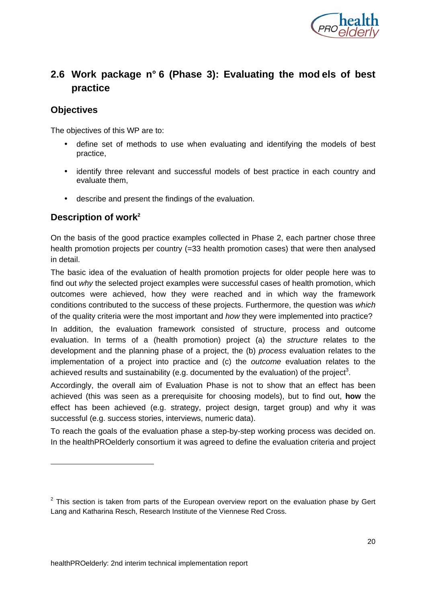

# **2.6 Work package n° 6 (Phase 3): Evaluating the mod els of best practice**

#### **Objectives**

-

The objectives of this WP are to:

- define set of methods to use when evaluating and identifying the models of best practice,
- identify three relevant and successful models of best practice in each country and evaluate them,
- describe and present the findings of the evaluation.

#### **Description of work<sup>2</sup>**

On the basis of the good practice examples collected in Phase 2, each partner chose three health promotion projects per country (=33 health promotion cases) that were then analysed in detail.

The basic idea of the evaluation of health promotion projects for older people here was to find out why the selected project examples were successful cases of health promotion, which outcomes were achieved, how they were reached and in which way the framework conditions contributed to the success of these projects. Furthermore, the question was which of the quality criteria were the most important and how they were implemented into practice?

In addition, the evaluation framework consisted of structure, process and outcome evaluation. In terms of a (health promotion) project (a) the structure relates to the development and the planning phase of a project, the (b) process evaluation relates to the implementation of a project into practice and (c) the outcome evaluation relates to the achieved results and sustainability (e.g. documented by the evaluation) of the project<sup>3</sup>.

Accordingly, the overall aim of Evaluation Phase is not to show that an effect has been achieved (this was seen as a prerequisite for choosing models), but to find out, **how** the effect has been achieved (e.g. strategy, project design, target group) and why it was successful (e.g. success stories, interviews, numeric data).

To reach the goals of the evaluation phase a step-by-step working process was decided on. In the healthPROelderly consortium it was agreed to define the evaluation criteria and project

 $2$  This section is taken from parts of the European overview report on the evaluation phase by Gert Lang and Katharina Resch, Research Institute of the Viennese Red Cross.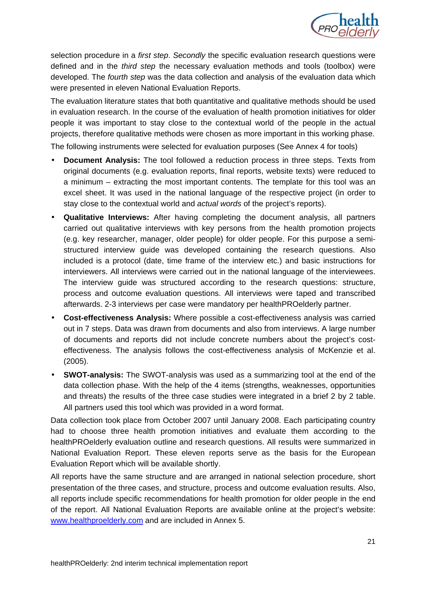

selection procedure in a first step. Secondly the specific evaluation research questions were defined and in the third step the necessary evaluation methods and tools (toolbox) were developed. The fourth step was the data collection and analysis of the evaluation data which were presented in eleven National Evaluation Reports.

The evaluation literature states that both quantitative and qualitative methods should be used in evaluation research. In the course of the evaluation of health promotion initiatives for older people it was important to stay close to the contextual world of the people in the actual projects, therefore qualitative methods were chosen as more important in this working phase. The following instruments were selected for evaluation purposes (See Annex 4 for tools)

- **Document Analysis:** The tool followed a reduction process in three steps. Texts from original documents (e.g. evaluation reports, final reports, website texts) were reduced to a minimum – extracting the most important contents. The template for this tool was an excel sheet. It was used in the national language of the respective project (in order to stay close to the contextual world and actual words of the project's reports).
- **Qualitative Interviews:** After having completing the document analysis, all partners carried out qualitative interviews with key persons from the health promotion projects (e.g. key researcher, manager, older people) for older people. For this purpose a semistructured interview guide was developed containing the research questions. Also included is a protocol (date, time frame of the interview etc.) and basic instructions for interviewers. All interviews were carried out in the national language of the interviewees. The interview guide was structured according to the research questions: structure, process and outcome evaluation questions. All interviews were taped and transcribed afterwards. 2-3 interviews per case were mandatory per healthPROelderly partner.
- **Cost-effectiveness Analysis:** Where possible a cost-effectiveness analysis was carried out in 7 steps. Data was drawn from documents and also from interviews. A large number of documents and reports did not include concrete numbers about the project's costeffectiveness. The analysis follows the cost-effectiveness analysis of McKenzie et al. (2005).
- **SWOT-analysis:** The SWOT-analysis was used as a summarizing tool at the end of the data collection phase. With the help of the 4 items (strengths, weaknesses, opportunities and threats) the results of the three case studies were integrated in a brief 2 by 2 table. All partners used this tool which was provided in a word format.

Data collection took place from October 2007 until January 2008. Each participating country had to choose three health promotion initiatives and evaluate them according to the healthPROelderly evaluation outline and research questions. All results were summarized in National Evaluation Report. These eleven reports serve as the basis for the European Evaluation Report which will be available shortly.

All reports have the same structure and are arranged in national selection procedure, short presentation of the three cases, and structure, process and outcome evaluation results. Also, all reports include specific recommendations for health promotion for older people in the end of the report. All National Evaluation Reports are available online at the project's website: www.healthproelderly.com and are included in Annex 5.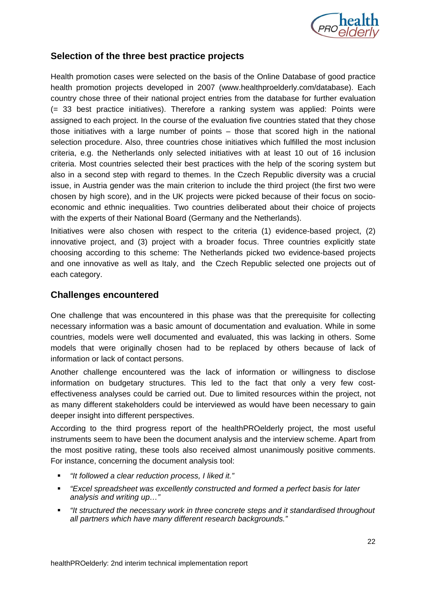

#### **Selection of the three best practice projects**

Health promotion cases were selected on the basis of the Online Database of good practice health promotion projects developed in 2007 (www.healthproelderly.com/database). Each country chose three of their national project entries from the database for further evaluation (= 33 best practice initiatives). Therefore a ranking system was applied: Points were assigned to each project. In the course of the evaluation five countries stated that they chose those initiatives with a large number of points – those that scored high in the national selection procedure. Also, three countries chose initiatives which fulfilled the most inclusion criteria, e.g. the Netherlands only selected initiatives with at least 10 out of 16 inclusion criteria. Most countries selected their best practices with the help of the scoring system but also in a second step with regard to themes. In the Czech Republic diversity was a crucial issue, in Austria gender was the main criterion to include the third project (the first two were chosen by high score), and in the UK projects were picked because of their focus on socioeconomic and ethnic inequalities. Two countries deliberated about their choice of projects with the experts of their National Board (Germany and the Netherlands).

Initiatives were also chosen with respect to the criteria (1) evidence-based project, (2) innovative project, and (3) project with a broader focus. Three countries explicitly state choosing according to this scheme: The Netherlands picked two evidence-based projects and one innovative as well as Italy, and the Czech Republic selected one projects out of each category.

#### **Challenges encountered**

One challenge that was encountered in this phase was that the prerequisite for collecting necessary information was a basic amount of documentation and evaluation. While in some countries, models were well documented and evaluated, this was lacking in others. Some models that were originally chosen had to be replaced by others because of lack of information or lack of contact persons.

Another challenge encountered was the lack of information or willingness to disclose information on budgetary structures. This led to the fact that only a very few costeffectiveness analyses could be carried out. Due to limited resources within the project, not as many different stakeholders could be interviewed as would have been necessary to gain deeper insight into different perspectives.

According to the third progress report of the healthPROelderly project, the most useful instruments seem to have been the document analysis and the interview scheme. Apart from the most positive rating, these tools also received almost unanimously positive comments. For instance, concerning the document analysis tool:

- "It followed a clear reduction process, I liked it."
- "Excel spreadsheet was excellently constructed and formed a perfect basis for later analysis and writing up…"
- "It structured the necessary work in three concrete steps and it standardised throughout all partners which have many different research backgrounds."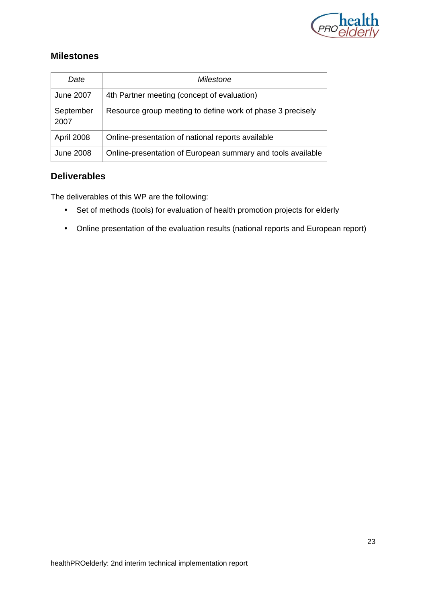

#### **Milestones**

| Date              | Milestone                                                   |  |  |  |
|-------------------|-------------------------------------------------------------|--|--|--|
| <b>June 2007</b>  | 4th Partner meeting (concept of evaluation)                 |  |  |  |
| September<br>2007 | Resource group meeting to define work of phase 3 precisely  |  |  |  |
| April 2008        | Online-presentation of national reports available           |  |  |  |
| <b>June 2008</b>  | Online-presentation of European summary and tools available |  |  |  |

#### **Deliverables**

The deliverables of this WP are the following:

- Set of methods (tools) for evaluation of health promotion projects for elderly
- Online presentation of the evaluation results (national reports and European report)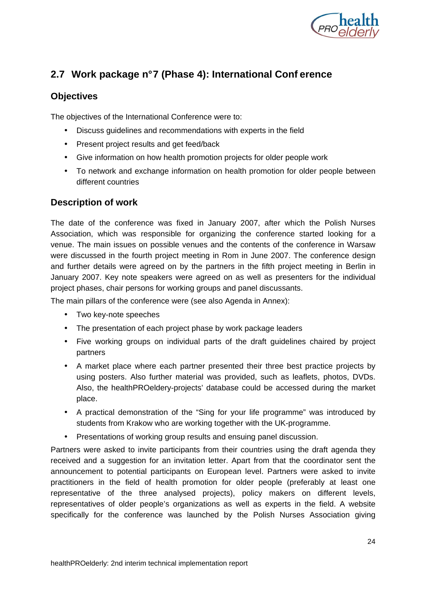

# **2.7 Work package n° 7 (Phase 4): International Conf erence**

#### **Objectives**

The objectives of the International Conference were to:

- Discuss guidelines and recommendations with experts in the field
- Present project results and get feed/back
- Give information on how health promotion projects for older people work
- To network and exchange information on health promotion for older people between different countries

#### **Description of work**

The date of the conference was fixed in January 2007, after which the Polish Nurses Association, which was responsible for organizing the conference started looking for a venue. The main issues on possible venues and the contents of the conference in Warsaw were discussed in the fourth project meeting in Rom in June 2007. The conference design and further details were agreed on by the partners in the fifth project meeting in Berlin in January 2007. Key note speakers were agreed on as well as presenters for the individual project phases, chair persons for working groups and panel discussants.

The main pillars of the conference were (see also Agenda in Annex):

- Two key-note speeches
- The presentation of each project phase by work package leaders
- Five working groups on individual parts of the draft guidelines chaired by project partners
- A market place where each partner presented their three best practice projects by using posters. Also further material was provided, such as leaflets, photos, DVDs. Also, the healthPROeldery-projects' database could be accessed during the market place.
- A practical demonstration of the "Sing for your life programme" was introduced by students from Krakow who are working together with the UK-programme.
- Presentations of working group results and ensuing panel discussion.

Partners were asked to invite participants from their countries using the draft agenda they received and a suggestion for an invitation letter. Apart from that the coordinator sent the announcement to potential participants on European level. Partners were asked to invite practitioners in the field of health promotion for older people (preferably at least one representative of the three analysed projects), policy makers on different levels, representatives of older people's organizations as well as experts in the field. A website specifically for the conference was launched by the Polish Nurses Association giving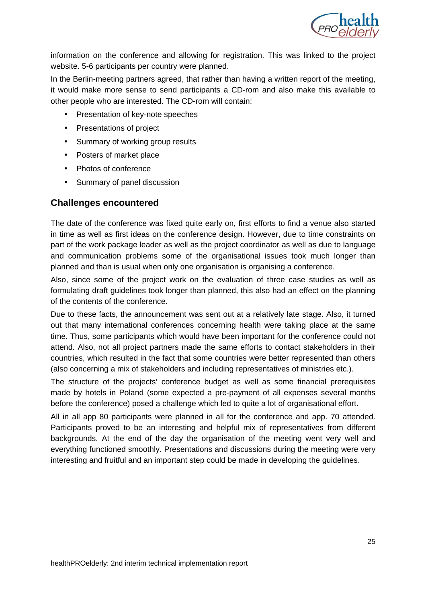

information on the conference and allowing for registration. This was linked to the project website. 5-6 participants per country were planned.

In the Berlin-meeting partners agreed, that rather than having a written report of the meeting, it would make more sense to send participants a CD-rom and also make this available to other people who are interested. The CD-rom will contain:

- Presentation of key-note speeches
- Presentations of project
- Summary of working group results
- Posters of market place
- Photos of conference
- Summary of panel discussion

#### **Challenges encountered**

The date of the conference was fixed quite early on, first efforts to find a venue also started in time as well as first ideas on the conference design. However, due to time constraints on part of the work package leader as well as the project coordinator as well as due to language and communication problems some of the organisational issues took much longer than planned and than is usual when only one organisation is organising a conference.

Also, since some of the project work on the evaluation of three case studies as well as formulating draft guidelines took longer than planned, this also had an effect on the planning of the contents of the conference.

Due to these facts, the announcement was sent out at a relatively late stage. Also, it turned out that many international conferences concerning health were taking place at the same time. Thus, some participants which would have been important for the conference could not attend. Also, not all project partners made the same efforts to contact stakeholders in their countries, which resulted in the fact that some countries were better represented than others (also concerning a mix of stakeholders and including representatives of ministries etc.).

The structure of the projects' conference budget as well as some financial prerequisites made by hotels in Poland (some expected a pre-payment of all expenses several months before the conference) posed a challenge which led to quite a lot of organisational effort.

All in all app 80 participants were planned in all for the conference and app. 70 attended. Participants proved to be an interesting and helpful mix of representatives from different backgrounds. At the end of the day the organisation of the meeting went very well and everything functioned smoothly. Presentations and discussions during the meeting were very interesting and fruitful and an important step could be made in developing the guidelines.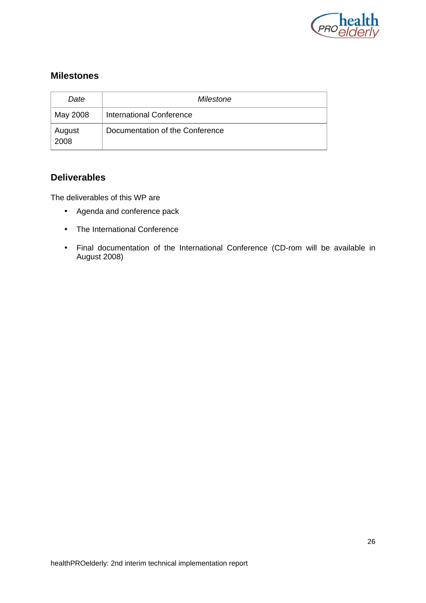

#### **Milestones**

| Date<br>Milestone |                                 |  |
|-------------------|---------------------------------|--|
| May 2008          | International Conference        |  |
| August<br>2008    | Documentation of the Conference |  |

#### **Deliverables**

The deliverables of this WP are

- Agenda and conference pack
- The International Conference
- Final documentation of the International Conference (CD-rom will be available in August 2008)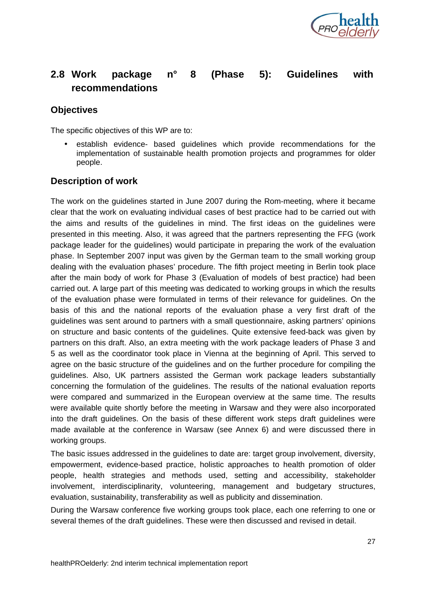

# **2.8 Work package n° 8 (Phase 5): Guidelines with recommendations**

#### **Objectives**

The specific objectives of this WP are to:

• establish evidence- based guidelines which provide recommendations for the implementation of sustainable health promotion projects and programmes for older people.

#### **Description of work**

The work on the guidelines started in June 2007 during the Rom-meeting, where it became clear that the work on evaluating individual cases of best practice had to be carried out with the aims and results of the guidelines in mind. The first ideas on the guidelines were presented in this meeting. Also, it was agreed that the partners representing the FFG (work package leader for the guidelines) would participate in preparing the work of the evaluation phase. In September 2007 input was given by the German team to the small working group dealing with the evaluation phases' procedure. The fifth project meeting in Berlin took place after the main body of work for Phase 3 (Evaluation of models of best practice) had been carried out. A large part of this meeting was dedicated to working groups in which the results of the evaluation phase were formulated in terms of their relevance for guidelines. On the basis of this and the national reports of the evaluation phase a very first draft of the guidelines was sent around to partners with a small questionnaire, asking partners' opinions on structure and basic contents of the guidelines. Quite extensive feed-back was given by partners on this draft. Also, an extra meeting with the work package leaders of Phase 3 and 5 as well as the coordinator took place in Vienna at the beginning of April. This served to agree on the basic structure of the guidelines and on the further procedure for compiling the guidelines. Also, UK partners assisted the German work package leaders substantially concerning the formulation of the guidelines. The results of the national evaluation reports were compared and summarized in the European overview at the same time. The results were available quite shortly before the meeting in Warsaw and they were also incorporated into the draft guidelines. On the basis of these different work steps draft guidelines were made available at the conference in Warsaw (see Annex 6) and were discussed there in working groups.

The basic issues addressed in the guidelines to date are: target group involvement, diversity, empowerment, evidence-based practice, holistic approaches to health promotion of older people, health strategies and methods used, setting and accessibility, stakeholder involvement, interdisciplinarity, volunteering, management and budgetary structures, evaluation, sustainability, transferability as well as publicity and dissemination.

During the Warsaw conference five working groups took place, each one referring to one or several themes of the draft guidelines. These were then discussed and revised in detail.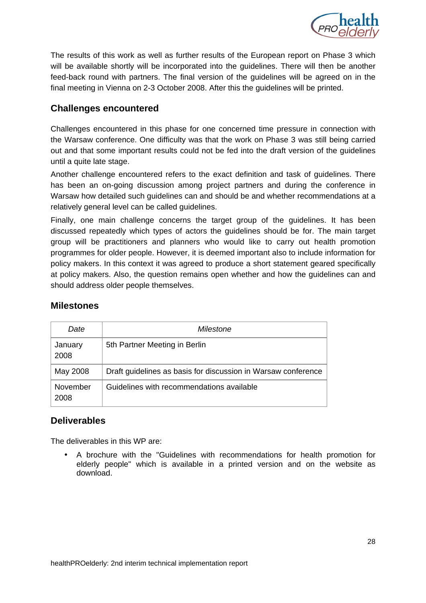

The results of this work as well as further results of the European report on Phase 3 which will be available shortly will be incorporated into the guidelines. There will then be another feed-back round with partners. The final version of the guidelines will be agreed on in the final meeting in Vienna on 2-3 October 2008. After this the guidelines will be printed.

#### **Challenges encountered**

Challenges encountered in this phase for one concerned time pressure in connection with the Warsaw conference. One difficulty was that the work on Phase 3 was still being carried out and that some important results could not be fed into the draft version of the guidelines until a quite late stage.

Another challenge encountered refers to the exact definition and task of guidelines. There has been an on-going discussion among project partners and during the conference in Warsaw how detailed such guidelines can and should be and whether recommendations at a relatively general level can be called guidelines.

Finally, one main challenge concerns the target group of the guidelines. It has been discussed repeatedly which types of actors the guidelines should be for. The main target group will be practitioners and planners who would like to carry out health promotion programmes for older people. However, it is deemed important also to include information for policy makers. In this context it was agreed to produce a short statement geared specifically at policy makers. Also, the question remains open whether and how the guidelines can and should address older people themselves.

| Date             | Milestone                                                     |
|------------------|---------------------------------------------------------------|
| January<br>2008  | 5th Partner Meeting in Berlin                                 |
| May 2008         | Draft guidelines as basis for discussion in Warsaw conference |
| November<br>2008 | Guidelines with recommendations available                     |

#### **Milestones**

#### **Deliverables**

The deliverables in this WP are:

• A brochure with the "Guidelines with recommendations for health promotion for elderly people" which is available in a printed version and on the website as download.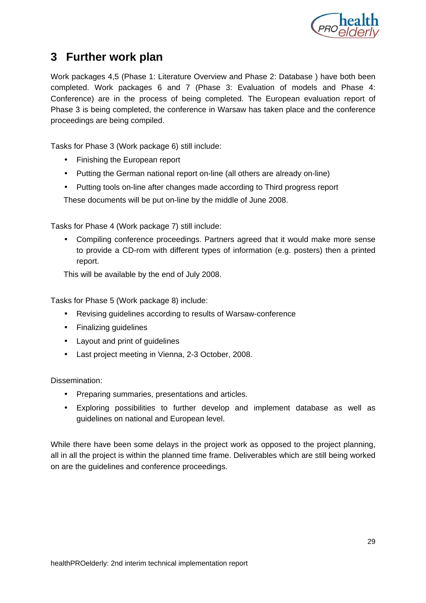

# **3 Further work plan**

Work packages 4,5 (Phase 1: Literature Overview and Phase 2: Database ) have both been completed. Work packages 6 and 7 (Phase 3: Evaluation of models and Phase 4: Conference) are in the process of being completed. The European evaluation report of Phase 3 is being completed, the conference in Warsaw has taken place and the conference proceedings are being compiled.

Tasks for Phase 3 (Work package 6) still include:

- Finishing the European report
- Putting the German national report on-line (all others are already on-line)
- Putting tools on-line after changes made according to Third progress report

These documents will be put on-line by the middle of June 2008.

Tasks for Phase 4 (Work package 7) still include:

• Compiling conference proceedings. Partners agreed that it would make more sense to provide a CD-rom with different types of information (e.g. posters) then a printed report.

This will be available by the end of July 2008.

Tasks for Phase 5 (Work package 8) include:

- Revising guidelines according to results of Warsaw-conference
- Finalizing guidelines
- Layout and print of guidelines
- Last project meeting in Vienna, 2-3 October, 2008.

Dissemination:

- Preparing summaries, presentations and articles.
- Exploring possibilities to further develop and implement database as well as guidelines on national and European level.

While there have been some delays in the project work as opposed to the project planning, all in all the project is within the planned time frame. Deliverables which are still being worked on are the guidelines and conference proceedings.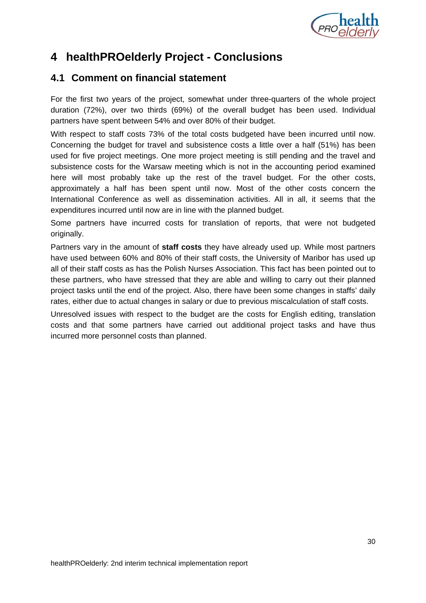

# **4 healthPROelderly Project - Conclusions**

# **4.1 Comment on financial statement**

For the first two years of the project, somewhat under three-quarters of the whole project duration (72%), over two thirds (69%) of the overall budget has been used. Individual partners have spent between 54% and over 80% of their budget.

With respect to staff costs 73% of the total costs budgeted have been incurred until now. Concerning the budget for travel and subsistence costs a little over a half (51%) has been used for five project meetings. One more project meeting is still pending and the travel and subsistence costs for the Warsaw meeting which is not in the accounting period examined here will most probably take up the rest of the travel budget. For the other costs, approximately a half has been spent until now. Most of the other costs concern the International Conference as well as dissemination activities. All in all, it seems that the expenditures incurred until now are in line with the planned budget.

Some partners have incurred costs for translation of reports, that were not budgeted originally.

Partners vary in the amount of **staff costs** they have already used up. While most partners have used between 60% and 80% of their staff costs, the University of Maribor has used up all of their staff costs as has the Polish Nurses Association. This fact has been pointed out to these partners, who have stressed that they are able and willing to carry out their planned project tasks until the end of the project. Also, there have been some changes in staffs' daily rates, either due to actual changes in salary or due to previous miscalculation of staff costs.

Unresolved issues with respect to the budget are the costs for English editing, translation costs and that some partners have carried out additional project tasks and have thus incurred more personnel costs than planned.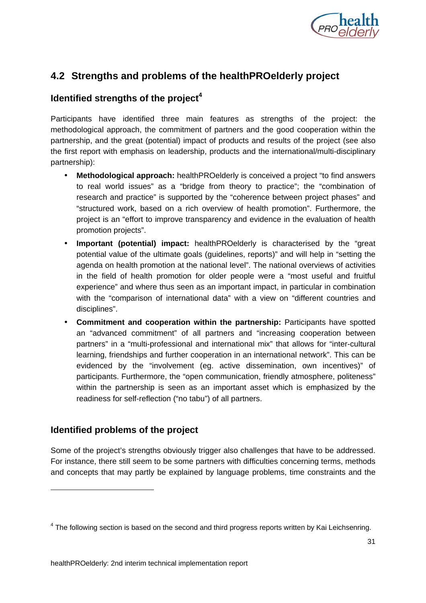

## **4.2 Strengths and problems of the healthPROelderly project**

#### **Identified strengths of the project<sup>4</sup>**

Participants have identified three main features as strengths of the project: the methodological approach, the commitment of partners and the good cooperation within the partnership, and the great (potential) impact of products and results of the project (see also the first report with emphasis on leadership, products and the international/multi-disciplinary partnership):

- **Methodological approach:** healthPROelderly is conceived a project "to find answers to real world issues" as a "bridge from theory to practice"; the "combination of research and practice" is supported by the "coherence between project phases" and "structured work, based on a rich overview of health promotion". Furthermore, the project is an "effort to improve transparency and evidence in the evaluation of health promotion projects".
- **Important (potential) impact:** healthPROelderly is characterised by the "great potential value of the ultimate goals (guidelines, reports)" and will help in "setting the agenda on health promotion at the national level". The national overviews of activities in the field of health promotion for older people were a "most useful and fruitful experience" and where thus seen as an important impact, in particular in combination with the "comparison of international data" with a view on "different countries and disciplines".
- **Commitment and cooperation within the partnership:** Participants have spotted an "advanced commitment" of all partners and "increasing cooperation between partners" in a "multi-professional and international mix" that allows for "inter-cultural learning, friendships and further cooperation in an international network". This can be evidenced by the "involvement (eg. active dissemination, own incentives)" of participants. Furthermore, the "open communication, friendly atmosphere, politeness" within the partnership is seen as an important asset which is emphasized by the readiness for self-reflection ("no tabu") of all partners.

#### **Identified problems of the project**

-

Some of the project's strengths obviously trigger also challenges that have to be addressed. For instance, there still seem to be some partners with difficulties concerning terms, methods and concepts that may partly be explained by language problems, time constraints and the

 $4$  The following section is based on the second and third progress reports written by Kai Leichsenring.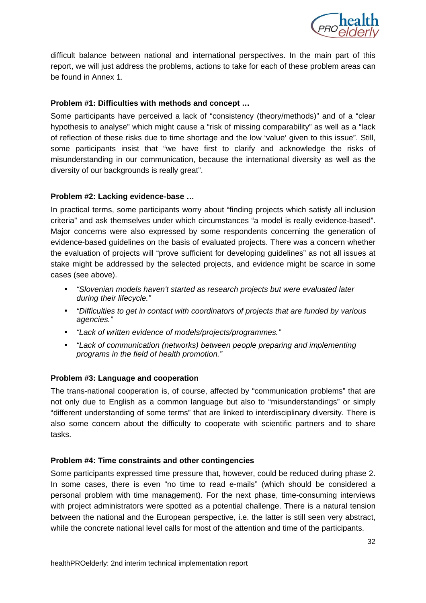

difficult balance between national and international perspectives. In the main part of this report, we will just address the problems, actions to take for each of these problem areas can be found in Annex 1.

#### **Problem #1: Difficulties with methods and concept …**

Some participants have perceived a lack of "consistency (theory/methods)" and of a "clear hypothesis to analyse" which might cause a "risk of missing comparability" as well as a "lack of reflection of these risks due to time shortage and the low 'value' given to this issue". Still, some participants insist that "we have first to clarify and acknowledge the risks of misunderstanding in our communication, because the international diversity as well as the diversity of our backgrounds is really great".

#### **Problem #2: Lacking evidence-base …**

In practical terms, some participants worry about "finding projects which satisfy all inclusion criteria" and ask themselves under which circumstances "a model is really evidence-based". Major concerns were also expressed by some respondents concerning the generation of evidence-based guidelines on the basis of evaluated projects. There was a concern whether the evaluation of projects will "prove sufficient for developing guidelines" as not all issues at stake might be addressed by the selected projects, and evidence might be scarce in some cases (see above).

- "Slovenian models haven't started as research projects but were evaluated later during their lifecycle."
- "Difficulties to get in contact with coordinators of projects that are funded by various agencies."
- "Lack of written evidence of models/projects/programmes."
- "Lack of communication (networks) between people preparing and implementing programs in the field of health promotion."

#### **Problem #3: Language and cooperation**

The trans-national cooperation is, of course, affected by "communication problems" that are not only due to English as a common language but also to "misunderstandings" or simply "different understanding of some terms" that are linked to interdisciplinary diversity. There is also some concern about the difficulty to cooperate with scientific partners and to share tasks.

#### **Problem #4: Time constraints and other contingencies**

Some participants expressed time pressure that, however, could be reduced during phase 2. In some cases, there is even "no time to read e-mails" (which should be considered a personal problem with time management). For the next phase, time-consuming interviews with project administrators were spotted as a potential challenge. There is a natural tension between the national and the European perspective, i.e. the latter is still seen very abstract, while the concrete national level calls for most of the attention and time of the participants.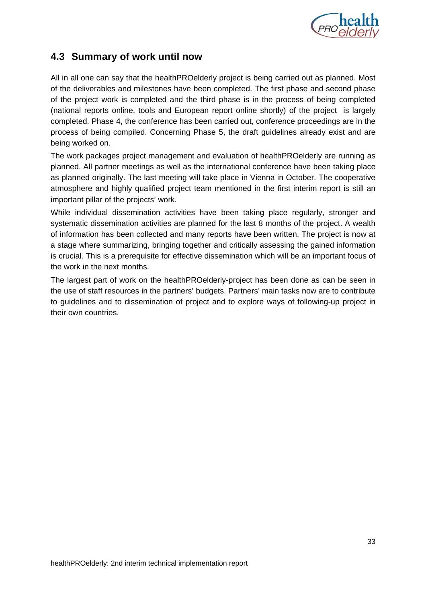

# **4.3 Summary of work until now**

All in all one can say that the healthPROelderly project is being carried out as planned. Most of the deliverables and milestones have been completed. The first phase and second phase of the project work is completed and the third phase is in the process of being completed (national reports online, tools and European report online shortly) of the project is largely completed. Phase 4, the conference has been carried out, conference proceedings are in the process of being compiled. Concerning Phase 5, the draft guidelines already exist and are being worked on.

The work packages project management and evaluation of healthPROelderly are running as planned. All partner meetings as well as the international conference have been taking place as planned originally. The last meeting will take place in Vienna in October. The cooperative atmosphere and highly qualified project team mentioned in the first interim report is still an important pillar of the projects' work.

While individual dissemination activities have been taking place regularly, stronger and systematic dissemination activities are planned for the last 8 months of the project. A wealth of information has been collected and many reports have been written. The project is now at a stage where summarizing, bringing together and critically assessing the gained information is crucial. This is a prerequisite for effective dissemination which will be an important focus of the work in the next months.

The largest part of work on the healthPROelderly-project has been done as can be seen in the use of staff resources in the partners' budgets. Partners' main tasks now are to contribute to guidelines and to dissemination of project and to explore ways of following-up project in their own countries.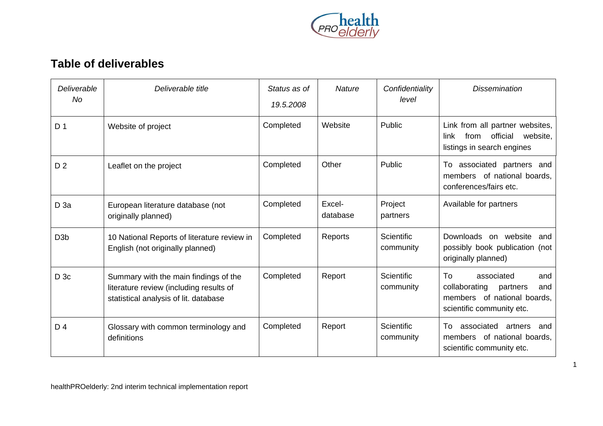

# **Table of deliverables**

| Deliverable<br>No. | Deliverable title                                                                                                         | Status as of<br>19.5.2008 | <b>Nature</b>      | Confidentiality<br>level | <b>Dissemination</b>                                                                                                    |
|--------------------|---------------------------------------------------------------------------------------------------------------------------|---------------------------|--------------------|--------------------------|-------------------------------------------------------------------------------------------------------------------------|
| D <sub>1</sub>     | Website of project                                                                                                        | Completed                 | Website            | Public                   | Link from all partner websites,<br>official<br>website,<br>link<br>from<br>listings in search engines                   |
| D <sub>2</sub>     | Leaflet on the project                                                                                                    | Completed                 | Other              | Public                   | associated partners and<br>To:<br>members of national boards,<br>conferences/fairs etc.                                 |
| D <sub>3a</sub>    | European literature database (not<br>originally planned)                                                                  | Completed                 | Excel-<br>database | Project<br>partners      | Available for partners                                                                                                  |
| D <sub>3</sub> b   | 10 National Reports of literature review in<br>English (not originally planned)                                           | Completed                 | Reports            | Scientific<br>community  | Downloads<br>on website<br>and<br>possibly book publication (not<br>originally planned)                                 |
| D3c                | Summary with the main findings of the<br>literature review (including results of<br>statistical analysis of lit. database | Completed                 | Report             | Scientific<br>community  | To<br>associated<br>and<br>collaborating<br>partners<br>and<br>members of national boards,<br>scientific community etc. |
| D <sub>4</sub>     | Glossary with common terminology and<br>definitions                                                                       | Completed                 | Report             | Scientific<br>community  | associated<br>artners<br>Τo<br>and<br>members of national boards,<br>scientific community etc.                          |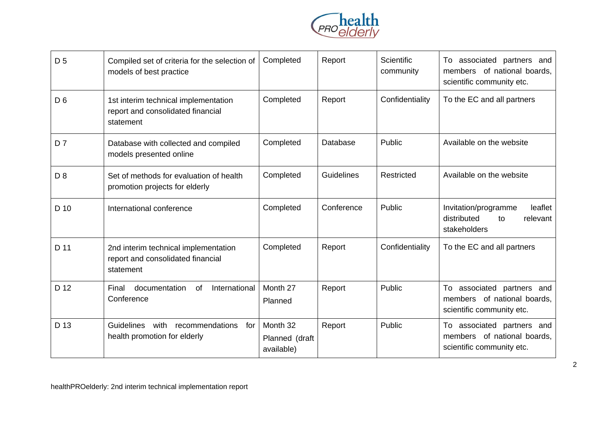

| D <sub>5</sub> | Compiled set of criteria for the selection of<br>models of best practice               | Completed                                | Report     | <b>Scientific</b><br>community | associated partners and<br>To<br>members of national boards,<br>scientific community etc. |
|----------------|----------------------------------------------------------------------------------------|------------------------------------------|------------|--------------------------------|-------------------------------------------------------------------------------------------|
| D <sub>6</sub> | 1st interim technical implementation<br>report and consolidated financial<br>statement | Completed                                | Report     | Confidentiality                | To the EC and all partners                                                                |
| D <sub>7</sub> | Database with collected and compiled<br>models presented online                        | Completed                                | Database   | Public                         | Available on the website                                                                  |
| D <sub>8</sub> | Set of methods for evaluation of health<br>promotion projects for elderly              | Completed                                | Guidelines | <b>Restricted</b>              | Available on the website                                                                  |
| D 10           | International conference                                                               | Completed                                | Conference | Public                         | leaflet<br>Invitation/programme<br>distributed<br>relevant<br>to<br>stakeholders          |
| D 11           | 2nd interim technical implementation<br>report and consolidated financial<br>statement | Completed                                | Report     | Confidentiality                | To the EC and all partners                                                                |
| D 12           | documentation<br>International<br>Final<br><b>of</b><br>Conference                     | Month 27<br>Planned                      | Report     | Public                         | associated partners and<br>To<br>members of national boards,<br>scientific community etc. |
| D 13           | Guidelines<br>with<br>recommendations<br>for<br>health promotion for elderly           | Month 32<br>Planned (draft<br>available) | Report     | Public                         | To associated partners and<br>members of national boards,<br>scientific community etc.    |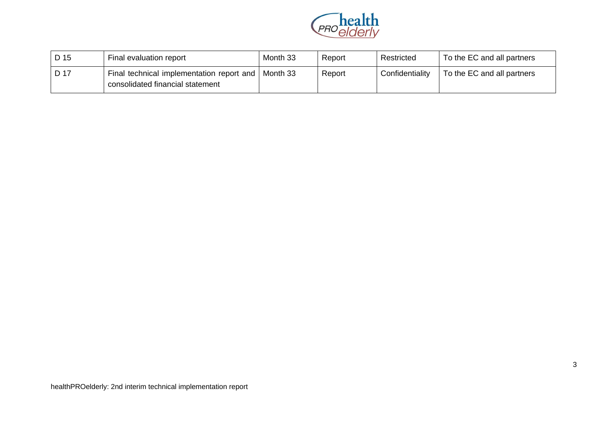

| D 15 | Final evaluation report                                                                  | Month 33 | Report | Restricted      | To the EC and all partners |
|------|------------------------------------------------------------------------------------------|----------|--------|-----------------|----------------------------|
| D 17 | Final technical implementation report and   Month 33<br>consolidated financial statement |          | Report | Confidentiality | To the EC and all partners |